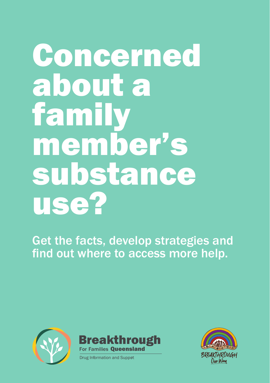# Concerned about a family member's substance use?

Get the facts, develop strategies and find out where to access more help.





Drug Information and Support Drug Information and Support

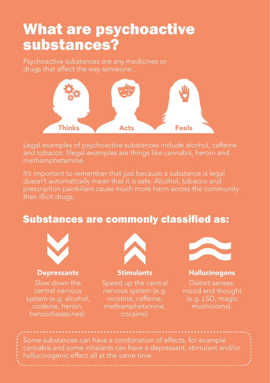### What are psychoactive substances?

Psychoactive substances are any medicines or



methamphetamine.

It's important to remember that just because a substance is legal prescription painkillers cause much more harm across the community than illicit drugs.

### Substances are commonly classified as:



#### **Depressants**

Slow down the central nervous system (e.g. alcohol, benzodiazepines).



#### **Stimulants**

Speed up the central nicotine, caffeine, methamphetamine, cocaine).



#### **Hallucinogens**

mood and thought (e.g. LSD, magic mushrooms).

Some substances can have a combination of effects, for example cannabis and some inhalants can have a depressant, stimulant and/or hallucinogenic effect all at the same time.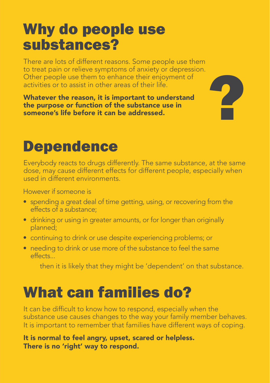### Why do people use substances?

There are lots of different reasons. Some people use them to treat pain or relieve symptoms of anxiety or depression. Other people use them to enhance their enjoyment of activities or to assist in other areas of their life.

Whatever the reason, it is important to understand the purpose or function of the substance use in someone's life before it can be addressed.

# Dependence

Everybody reacts to drugs differently. The same substance, at the same dose, may cause different effects for different people, especially when used in different environments.

?

However if someone is

- spending a great deal of time getting, using, or recovering from the effects of a substance;
- drinking or using in greater amounts, or for longer than originally planned;
- continuing to drink or use despite experiencing problems; or
- needing to drink or use more of the substance to feel the same effects...

then it is likely that they might be 'dependent' on that substance.

# What can families do?

It can be difficult to know how to respond, especially when the substance use causes changes to the way your family member behaves. It is important to remember that families have different ways of coping.

It is normal to feel angry, upset, scared or helpless. There is no 'right' way to respond.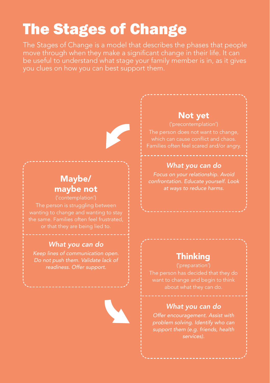# The Stages of Change

The Stages of Change is a model that describes the phases that people be useful to understand what stage your family member is in, as it gives you clues on how you can best support them.

### Maybe/ maybe not

#### *What you can do*

*Keep lines of communication open. Do not push them. Validate lack of readiness. Offer support.*

### Not yet

The person does not want to change. Families often feel scared and/or angry.

#### *What you can do*

*Focus on your relationship. Avoid confrontation. Educate yourself. Look at ways to reduce harms.*

### **Thinking**

('preparation') The person has decided that they do want to change and begin to think

#### *What you can do*

*Offer encouragement. Assist with problem solving. Identify who can support them (e.g. friends, health services).*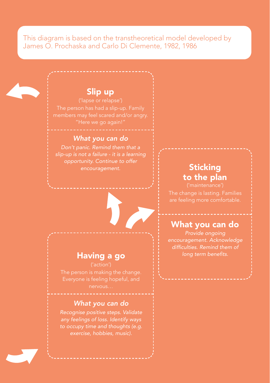This diagram is based on the transtheoretical model developed by James O. Prochaska and Carlo Di Clemente, 1982, 1986

### Slip up

('lapse or relapse') The person has had a slip-up. Family members may feel scared and/or angry.

#### *What you can do*

Don't panic. Remind them that a *slip-up is not a failure - it is a learning* 

### Having a go long term benefits.

('action')

The person is making the change.

#### *What you can do*

### Sticking to the plan

('maintenance')

### What you can do

*Provide ongoing encouragement. Acknowledge*  difficulties. Remind them of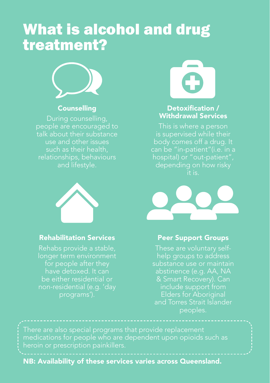### What is alcohol and drug treatment?



#### **Counselling**

people are encouraged to talk about their substance use and other issues such as their health, relationships, behaviours and lifestyle.



#### Rehabilitation Services

Rehabs provide a stable, longer term environment for people after they have detoxed. It can be either residential or non-residential (e.g. 'day programs').



#### Detoxification / Withdrawal Services

This is where a person is supervised while their can be "in-patient"(i.e. in a hospital) or "out-patient", depending on how risky it is.



#### Peer Support Groups

These are voluntary selfhelp groups to address substance use or maintain abstinence (e.g. AA, NA & Smart Recovery). Can include support from Elders for Aboriginal and Torres Strait Islander peoples.

There are also special programs that provide replacement medications for people who are dependent upon opioids such as heroin or prescription painkillers.

NB: Availability of these services varies across Queensland.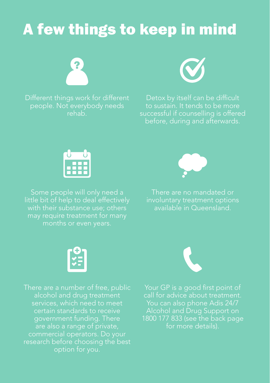# A few things to keep in mind



Different things work for different people. Not everybody needs rehab.



Detox by itself can be difficult to sustain. It tends to be more successful if counselling is offered before, during and afterwards.



Some people will only need a with their substance use; others may require treatment for many months or even years.



There are no mandated or involuntary treatment options available in Queensland.



There are a number of free, public services, which need to meet government funding. There are also a range of private, commercial operators. Do your option for you.



Your GP is a good first point of call for advice about treatment. You can also phone Adis 24/7 Alcohol and Drug Support on 1800 177 833 (see the back page for more details).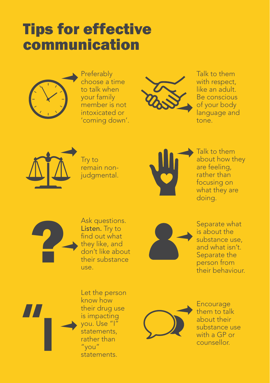# Tips for effective communication



Preferably choose a time to talk when your family member is not intoxicated or 'coming down'.



Talk to them with respect, like an adult. Be conscious of your body language and tone.



Try to remain nonjudamental.



Talk to them about how they are feeling, rather than focusing on what they are doing.



Listen. Try to find out what they like, and don't like about their substance use.



Separate what is about the substance use, and what isn't. Separate the person from .<br>their behaviour



Let the person know how their drug use is impacting you. Use "I" statements, rather than "you" statements.



them to talk about their substance use with a GP or counsellor.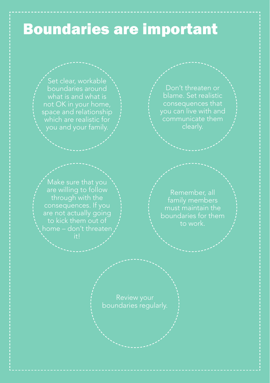### Boundaries are important

Set clear, workable boundaries around what is and what is space and relationship

Don't threaten or blame. Set realistic consequences that you can live with and communicate them clearly.

Make sure that you are willing to follow through with the consequences. If you are not actually going to kick them out of home – don't threaten

Remember, all boundaries for them to work.

boundaries regularly.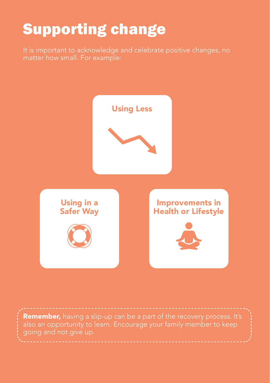# Supporting change

It is important to acknowledge and celebrate positive changes, no



Remember, having a slip-up can be a part of the recovery process. It's also an opportunity to learn. Encourage your family member to keep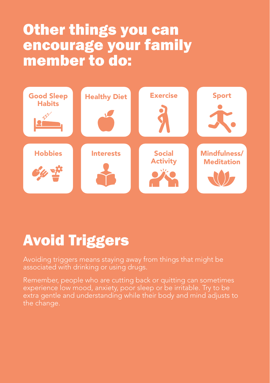### **Other things you can** encourage your family member to do:



# Avoid Triggers

Avoiding triggers means staying away from things that might be associated with drinking or using drugs.

extra gentle and understanding while their body and mind adjusts to the change.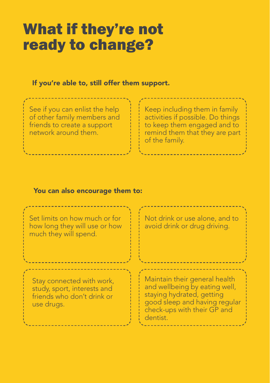## What if they're not ready to change?

#### If you're able to, still offer them support.

See if you can enlist the help of other family members and friends to create a support network around them.

Keep including them in family activities if possible. Do things to keep them engaged and to remind them that they are part of the family.

#### You can also encourage them to:

| Set limits on how much or for<br>how long they will use or how<br>much they will spend.              | Not drink or use alone, and to<br>avoid drink or drug driving.                                                                                                          |
|------------------------------------------------------------------------------------------------------|-------------------------------------------------------------------------------------------------------------------------------------------------------------------------|
| Stay connected with work,<br>study, sport, interests and<br>friends who don't drink or<br>use drugs. | Maintain their general health<br>and wellbeing by eating well,<br>staying hydrated, getting<br>good sleep and having regular<br>check-ups with their GP and<br>dentist. |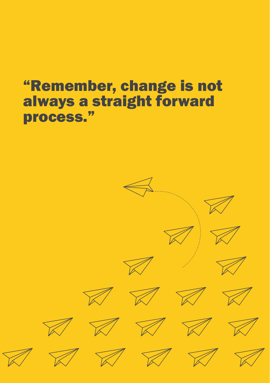### "Remember, change is not always a straight forward process."

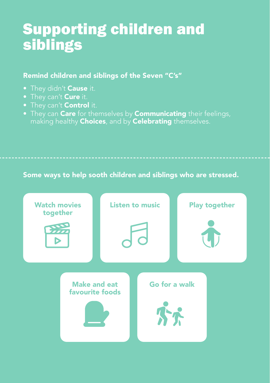### Supporting children and siblings

#### Remind children and siblings of the Seven "C's"

- They didn't **Cause** it.
- They can't **Cure** it.
- They can't **Control** it.
- They can Care for themselves by Communicating their feelings, making healthy **Choices**, and by **Celebrating** themselves.

#### Some ways to help sooth children and siblings who are stressed.

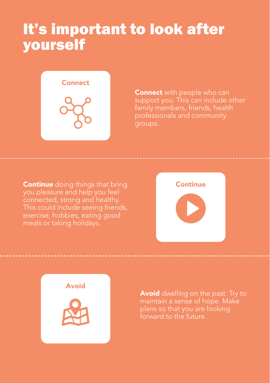### It's important to look after yourself



**Connect** with people who can support you. This can include other family members, friends, health professionals and community groups.

**Continue** doing things that bring you pleasure and help you feel This could include seeing friends, meals or taking holidays.





Avoid dwelling on the past. Try to forward to the future.